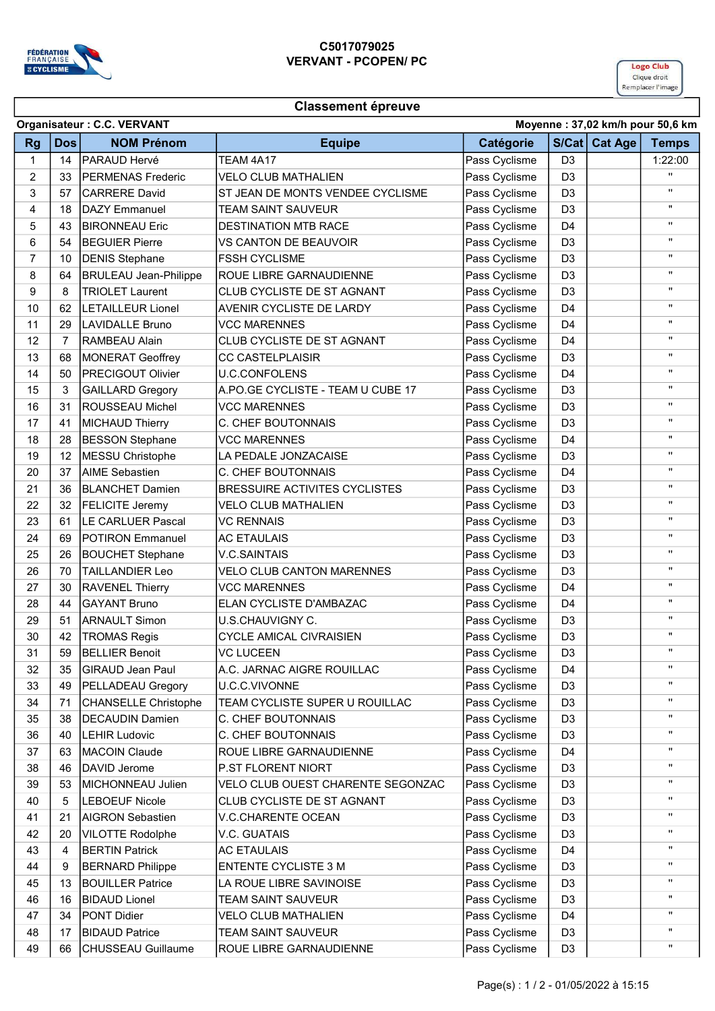

## C5017079025 VERVANT - PCOPEN/ PC



## Classement épreuve

|                | Organisateur: C.C. VERVANT<br>Moyenne: 37,02 km/h pour 50,6 km |                              |                                      |               |                |               |                    |  |
|----------------|----------------------------------------------------------------|------------------------------|--------------------------------------|---------------|----------------|---------------|--------------------|--|
| <b>Rg</b>      | <b>Dos</b>                                                     | <b>NOM Prénom</b>            | <b>Equipe</b>                        | Catégorie     |                | S/Cat Cat Age | <b>Temps</b>       |  |
| 1              | 14                                                             | PARAUD Hervé                 | TEAM 4A17                            | Pass Cyclisme | D <sub>3</sub> |               | 1:22:00            |  |
| 2              | 33                                                             | PERMENAS Frederic            | <b>VELO CLUB MATHALIEN</b>           | Pass Cyclisme | D <sub>3</sub> |               | "                  |  |
| 3              | 57                                                             | <b>CARRERE David</b>         | ST JEAN DE MONTS VENDEE CYCLISME     | Pass Cyclisme | D <sub>3</sub> |               | "                  |  |
| 4              | 18                                                             | <b>DAZY</b> Emmanuel         | <b>TEAM SAINT SAUVEUR</b>            | Pass Cyclisme | D <sub>3</sub> |               | $\pmb{\mathsf{H}}$ |  |
| 5              | 43                                                             | <b>BIRONNEAU Eric</b>        | <b>DESTINATION MTB RACE</b>          | Pass Cyclisme | D <sub>4</sub> |               |                    |  |
| 6              | 54                                                             | <b>BEGUIER Pierre</b>        | VS CANTON DE BEAUVOIR                | Pass Cyclisme | D <sub>3</sub> |               | π.                 |  |
| $\overline{7}$ | 10                                                             | <b>DENIS Stephane</b>        | <b>FSSH CYCLISME</b>                 | Pass Cyclisme | D <sub>3</sub> |               | "                  |  |
| 8              | 64                                                             | <b>BRULEAU Jean-Philippe</b> | <b>ROUE LIBRE GARNAUDIENNE</b>       | Pass Cyclisme | D <sub>3</sub> |               | "                  |  |
| 9              | 8                                                              | <b>TRIOLET Laurent</b>       | CLUB CYCLISTE DE ST AGNANT           | Pass Cyclisme | D <sub>3</sub> |               | $\pmb{\mathsf{H}}$ |  |
| 10             | 62                                                             | <b>LETAILLEUR Lionel</b>     | AVENIR CYCLISTE DE LARDY             | Pass Cyclisme | D <sub>4</sub> |               | $\pmb{\mathsf{H}}$ |  |
| 11             | 29                                                             | <b>LAVIDALLE Bruno</b>       | <b>VCC MARENNES</b>                  | Pass Cyclisme | D <sub>4</sub> |               |                    |  |
| 12             | $\overline{7}$                                                 | RAMBEAU Alain                | CLUB CYCLISTE DE ST AGNANT           | Pass Cyclisme | D <sub>4</sub> |               | $\mathbf{H}$       |  |
| 13             | 68                                                             | <b>MONERAT Geoffrey</b>      | <b>CC CASTELPLAISIR</b>              | Pass Cyclisme | D <sub>3</sub> |               | "                  |  |
| 14             | 50                                                             | <b>PRECIGOUT Olivier</b>     | <b>U.C.CONFOLENS</b>                 | Pass Cyclisme | D <sub>4</sub> |               | "                  |  |
| 15             | 3                                                              | <b>GAILLARD Gregory</b>      | A.PO.GE CYCLISTE - TEAM U CUBE 17    | Pass Cyclisme | D <sub>3</sub> |               | "                  |  |
| 16             | 31                                                             | ROUSSEAU Michel              | <b>VCC MARENNES</b>                  | Pass Cyclisme | D <sub>3</sub> |               | "                  |  |
| 17             | 41                                                             | <b>MICHAUD Thierry</b>       | C. CHEF BOUTONNAIS                   | Pass Cyclisme | D <sub>3</sub> |               | "                  |  |
| 18             | 28                                                             | <b>BESSON Stephane</b>       | <b>VCC MARENNES</b>                  | Pass Cyclisme | D <sub>4</sub> |               | $\pmb{\mathsf{H}}$ |  |
| 19             | 12                                                             | <b>MESSU Christophe</b>      | LA PEDALE JONZACAISE                 | Pass Cyclisme | D <sub>3</sub> |               | $\pmb{\mathsf{H}}$ |  |
| 20             | 37                                                             | <b>AIME Sebastien</b>        | C. CHEF BOUTONNAIS                   | Pass Cyclisme | D <sub>4</sub> |               | $\mathbf{H}$       |  |
| 21             | 36                                                             | <b>BLANCHET Damien</b>       | <b>BRESSUIRE ACTIVITES CYCLISTES</b> | Pass Cyclisme | D <sub>3</sub> |               | "                  |  |
| 22             | 32                                                             | <b>FELICITE Jeremy</b>       | <b>VELO CLUB MATHALIEN</b>           | Pass Cyclisme | D <sub>3</sub> |               | "                  |  |
| 23             | 61                                                             | LE CARLUER Pascal            | <b>VC RENNAIS</b>                    | Pass Cyclisme | D <sub>3</sub> |               | "                  |  |
| 24             | 69                                                             | <b>POTIRON Emmanuel</b>      | <b>AC ETAULAIS</b>                   | Pass Cyclisme | D <sub>3</sub> |               | "                  |  |
| 25             | 26                                                             | <b>BOUCHET Stephane</b>      | <b>V.C.SAINTAIS</b>                  | Pass Cyclisme | D <sub>3</sub> |               | "                  |  |
| 26             | 70                                                             | <b>TAILLANDIER Leo</b>       | <b>VELO CLUB CANTON MARENNES</b>     | Pass Cyclisme | D <sub>3</sub> |               | $\pmb{\mathsf{H}}$ |  |
| 27             | 30                                                             | <b>RAVENEL Thierry</b>       | <b>VCC MARENNES</b>                  | Pass Cyclisme | D <sub>4</sub> |               | $\mathbf{H}$       |  |
| 28             | 44                                                             | <b>GAYANT Bruno</b>          | ELAN CYCLISTE D'AMBAZAC              | Pass Cyclisme | D <sub>4</sub> |               | $\mathbf{H}$       |  |
| 29             | 51                                                             | <b>ARNAULT Simon</b>         | U.S.CHAUVIGNY C.                     | Pass Cyclisme | D <sub>3</sub> |               | Π.                 |  |
| 30             | 42                                                             | <b>TROMAS Regis</b>          | <b>CYCLE AMICAL CIVRAISIEN</b>       | Pass Cyclisme | D <sub>3</sub> |               |                    |  |
| 31             | 59                                                             | <b>BELLIER Benoit</b>        | <b>VC LUCEEN</b>                     | Pass Cyclisme | D <sub>3</sub> |               | $\pmb{\mathsf{H}}$ |  |
| 32             | 35                                                             | <b>GIRAUD Jean Paul</b>      | A.C. JARNAC AIGRE ROUILLAC           | Pass Cyclisme | D4             |               | $\pmb{\mathsf{H}}$ |  |
| 33             | 49                                                             | PELLADEAU Gregory            | U.C.C.VIVONNE                        | Pass Cyclisme | D <sub>3</sub> |               | "                  |  |
| 34             | 71                                                             | <b>CHANSELLE Christophe</b>  | TEAM CYCLISTE SUPER U ROUILLAC       | Pass Cyclisme | D <sub>3</sub> |               | Π.                 |  |
| 35             | 38                                                             | <b>DECAUDIN Damien</b>       | C. CHEF BOUTONNAIS                   | Pass Cyclisme | D <sub>3</sub> |               |                    |  |
| 36             | 40                                                             | <b>LEHIR Ludovic</b>         | C. CHEF BOUTONNAIS                   | Pass Cyclisme | D <sub>3</sub> |               |                    |  |
| 37             | 63                                                             | <b>MACOIN Claude</b>         | ROUE LIBRE GARNAUDIENNE              | Pass Cyclisme | D <sub>4</sub> |               | "                  |  |
| 38             | 46                                                             | DAVID Jerome                 | P.ST FLORENT NIORT                   | Pass Cyclisme | D <sub>3</sub> |               |                    |  |
| 39             | 53                                                             | MICHONNEAU Julien            | VELO CLUB OUEST CHARENTE SEGONZAC    | Pass Cyclisme | D <sub>3</sub> |               | "                  |  |
| 40             | 5                                                              | <b>LEBOEUF Nicole</b>        | CLUB CYCLISTE DE ST AGNANT           | Pass Cyclisme | D <sub>3</sub> |               |                    |  |
| 41             | 21                                                             | <b>AIGRON Sebastien</b>      | <b>V.C.CHARENTE OCEAN</b>            | Pass Cyclisme | D <sub>3</sub> |               | п.                 |  |
| 42             | 20                                                             | <b>VILOTTE Rodolphe</b>      | V.C. GUATAIS                         | Pass Cyclisme | D <sub>3</sub> |               | н.                 |  |
| 43             | 4                                                              | <b>BERTIN Patrick</b>        | <b>AC ETAULAIS</b>                   | Pass Cyclisme | D <sub>4</sub> |               | н.                 |  |
| 44             | 9                                                              | <b>BERNARD Philippe</b>      | <b>ENTENTE CYCLISTE 3 M</b>          | Pass Cyclisme | D <sub>3</sub> |               |                    |  |
| 45             | 13                                                             | <b>BOUILLER Patrice</b>      | LA ROUE LIBRE SAVINOISE              | Pass Cyclisme | D <sub>3</sub> |               |                    |  |
| 46             | 16                                                             | <b>BIDAUD Lionel</b>         | TEAM SAINT SAUVEUR                   | Pass Cyclisme | D <sub>3</sub> |               |                    |  |
| 47             | 34                                                             | <b>PONT Didier</b>           | <b>VELO CLUB MATHALIEN</b>           | Pass Cyclisme | D <sub>4</sub> |               |                    |  |
| 48             | 17                                                             | <b>BIDAUD Patrice</b>        | TEAM SAINT SAUVEUR                   | Pass Cyclisme | D <sub>3</sub> |               |                    |  |
| 49             | 66                                                             | CHUSSEAU Guillaume           | ROUE LIBRE GARNAUDIENNE              | Pass Cyclisme | D <sub>3</sub> |               | н.                 |  |